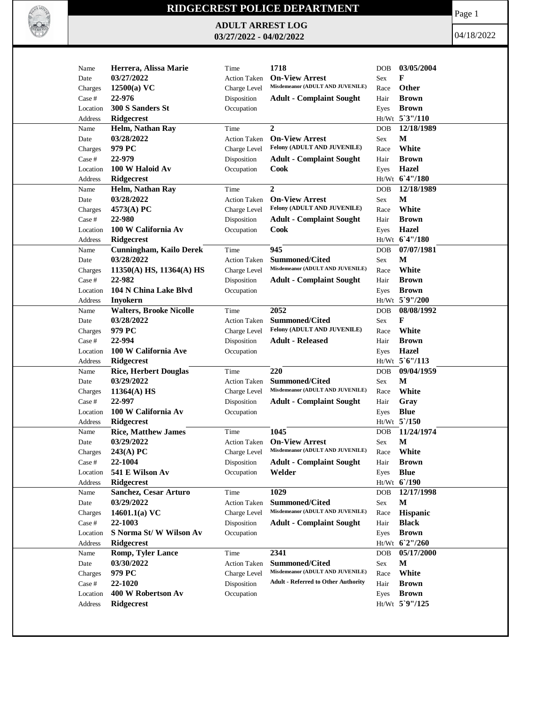

## **RIDGECREST POLICE DEPARTMENT**

**ADULT ARREST LOG 03/27/2022 - 04/02/2022**

Page 1

04/18/2022

|          |                                          |                                     | 1718                                                      |                      | 03/05/2004       |
|----------|------------------------------------------|-------------------------------------|-----------------------------------------------------------|----------------------|------------------|
| Name     | Herrera, Alissa Marie                    | Time                                |                                                           | <b>DOB</b>           |                  |
| Date     | 03/27/2022                               | <b>Action Taken</b>                 | <b>On-View Arrest</b><br>Misdemeanor (ADULT AND JUVENILE) | Sex                  | F                |
| Charges  | $12500(a)$ VC                            | Charge Level                        |                                                           | Race                 | Other            |
| Case #   | 22-976                                   | Disposition                         | <b>Adult - Complaint Sought</b>                           | Hair                 | <b>Brown</b>     |
| Location | 300 S Sanders St                         | Occupation                          |                                                           | Eyes                 | <b>Brown</b>     |
| Address  | <b>Ridgecrest</b>                        |                                     |                                                           |                      | Ht/Wt 5'3"/110   |
| Name     | Helm, Nathan Ray                         | Time                                | $\overline{2}$                                            | <b>DOB</b>           | 12/18/1989       |
| Date     | 03/28/2022                               | <b>Action Taken</b>                 | <b>On-View Arrest</b>                                     | $\operatorname{Sex}$ | M                |
| Charges  | 979 PC                                   | Charge Level                        | Felony (ADULT AND JUVENILE)                               | Race                 | White            |
| Case #   | 22-979                                   | Disposition                         | <b>Adult - Complaint Sought</b>                           | Hair                 | <b>Brown</b>     |
| Location | 100 W Haloid Av                          | Occupation                          | Cook                                                      | Eyes                 | <b>Hazel</b>     |
| Address  | Ridgecrest                               |                                     |                                                           |                      | Ht/Wt 6'4"/180   |
| Name     | Helm, Nathan Ray                         | Time                                | 2                                                         | <b>DOB</b>           | 12/18/1989       |
| Date     | 03/28/2022                               | <b>Action Taken</b>                 | <b>On-View Arrest</b>                                     | Sex                  | M                |
| Charges  | 4573(A) PC                               | Charge Level                        | Felony (ADULT AND JUVENILE)                               | Race                 | White            |
| Case #   | 22-980                                   | Disposition                         | <b>Adult - Complaint Sought</b>                           | Hair                 | <b>Brown</b>     |
| Location | 100 W California Av                      | Occupation                          | Cook                                                      | Eyes                 | <b>Hazel</b>     |
| Address  | Ridgecrest                               |                                     |                                                           |                      | Ht/Wt 6'4"/180   |
| Name     | <b>Cunningham, Kailo Derek</b>           | Time                                | 945                                                       | <b>DOB</b>           | 07/07/1981       |
| Date     | 03/28/2022                               | <b>Action Taken</b>                 | <b>Summoned/Cited</b>                                     | Sex                  | М                |
| Charges  | $11350(A)$ HS, $11364(A)$ HS             | Charge Level                        | Misdemeanor (ADULT AND JUVENILE)                          | Race                 | White            |
| Case #   | 22-982                                   | Disposition                         | <b>Adult - Complaint Sought</b>                           | Hair                 | <b>Brown</b>     |
| Location | 104 N China Lake Blvd                    | Occupation                          |                                                           | Eyes                 | <b>Brown</b>     |
| Address  | <b>Inyokern</b>                          |                                     |                                                           |                      | Ht/Wt 5°9"/200   |
| Name     | <b>Walters, Brooke Nicolle</b>           | Time                                | 2052                                                      | DOB                  | 08/08/1992       |
| Date     | 03/28/2022                               | <b>Action Taken</b>                 | <b>Summoned/Cited</b>                                     | Sex                  | F                |
| Charges  | 979 PC                                   | Charge Level                        | Felony (ADULT AND JUVENILE)                               | Race                 | White            |
| Case #   | 22-994                                   | Disposition                         | <b>Adult - Released</b>                                   | Hair                 | <b>Brown</b>     |
| Location | 100 W California Ave                     | Occupation                          |                                                           | Eyes                 | Hazel            |
| Address  | Ridgecrest                               |                                     |                                                           |                      | Ht/Wt 5'6"/113   |
| Name     | <b>Rice, Herbert Douglas</b>             | Time                                | 220                                                       | <b>DOB</b>           | 09/04/1959       |
| Date     | 03/29/2022                               | <b>Action Taken</b>                 | <b>Summoned/Cited</b>                                     | Sex                  | M                |
| Charges  | $11364(A)$ HS                            | Charge Level                        | Misdemeanor (ADULT AND JUVENILE)                          | Race                 | White            |
| Case #   | 22-997                                   | Disposition                         | <b>Adult - Complaint Sought</b>                           | Hair                 | Gray             |
| Location | 100 W California Av                      | Occupation                          |                                                           |                      | <b>Blue</b>      |
| Address  |                                          |                                     |                                                           | Eyes                 | $Ht/Wt$ 5 $/150$ |
|          | <b>Ridgecrest</b>                        |                                     | 1045                                                      |                      | 11/24/1974       |
| Name     | <b>Rice, Matthew James</b><br>03/29/2022 | Time                                | <b>On-View Arrest</b>                                     | <b>DOB</b>           | М                |
| Date     |                                          | <b>Action Taken</b><br>Charge Level | Misdemeanor (ADULT AND JUVENILE)                          | Sex<br>Race          | White            |
| Charges  | $243(A)$ PC                              |                                     | <b>Adult - Complaint Sought</b>                           |                      |                  |
| Case #   | 22-1004                                  | Disposition                         |                                                           | Hair                 | <b>Brown</b>     |
| Location | 541 E Wilson Av                          | Occupation                          | Welder                                                    | Eyes                 | <b>Blue</b>      |
| Address  | Ridgecrest                               |                                     |                                                           |                      | Ht/Wt 6'/190     |
| Name     | Sanchez, Cesar Arturo                    | Time                                | 1029                                                      | DOB                  | 12/17/1998       |
| Date     | 03/29/2022                               | <b>Action Taken</b>                 | Summoned/Cited<br>Misdemeanor (ADULT AND JUVENILE)        | Sex                  | M                |
| Charges  | 14601.1(a) $VC$                          | Charge Level                        |                                                           | Race                 | Hispanic         |
| Case #   | 22-1003                                  | Disposition                         | <b>Adult - Complaint Sought</b>                           | Hair                 | <b>Black</b>     |
| Location | S Norma St/W Wilson Av                   | Occupation                          |                                                           | Eyes                 | <b>Brown</b>     |
| Address  | <b>Ridgecrest</b>                        |                                     |                                                           |                      | Ht/Wt 6'2"/260   |
| Name     | <b>Romp, Tyler Lance</b>                 | Time                                | 2341                                                      | <b>DOB</b>           | 05/17/2000       |
| Date     | 03/30/2022                               | <b>Action Taken</b>                 | <b>Summoned/Cited</b><br>Misdemeanor (ADULT AND JUVENILE) | Sex                  | M                |
| Charges  | 979 PC                                   | Charge Level                        |                                                           | Race                 | White            |
| Case #   | 22-1020                                  | Disposition                         | <b>Adult - Referred to Other Authority</b>                | Hair                 | <b>Brown</b>     |
| Location | 400 W Robertson Av                       | Occupation                          |                                                           | Eyes                 | <b>Brown</b>     |
| Address  | Ridgecrest                               |                                     |                                                           |                      | Ht/Wt 5`9"/125   |
|          |                                          |                                     |                                                           |                      |                  |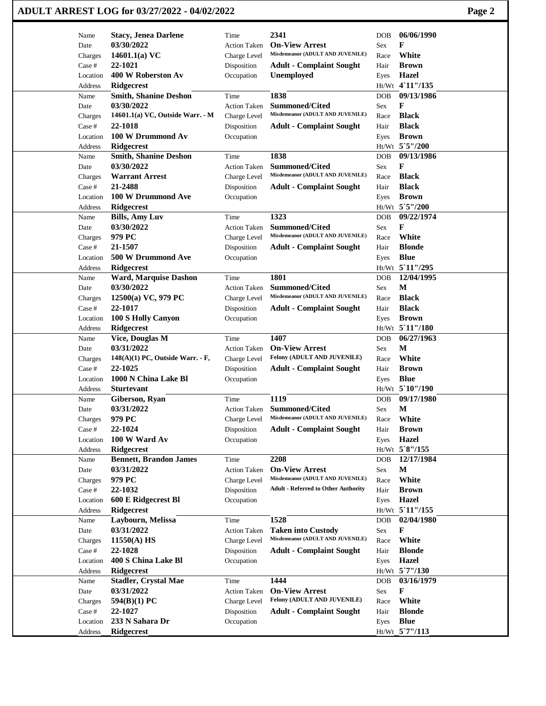| Name               | <b>Stacy, Jenea Darlene</b>          | Time                | 2341                                                 | <b>DOB</b> | 06/06/1990      |
|--------------------|--------------------------------------|---------------------|------------------------------------------------------|------------|-----------------|
| Date               | 03/30/2022                           | <b>Action Taken</b> | <b>On-View Arrest</b>                                | Sex        | F               |
| Charges            | 14601.1(a) $VC$                      | Charge Level        | Misdemeanor (ADULT AND JUVENILE)                     | Race       | White           |
| Case #             | 22-1021                              | Disposition         | <b>Adult - Complaint Sought</b>                      | Hair       | <b>Brown</b>    |
| Location           | 400 W Roberston Av                   | Occupation          | Unemployed                                           | Eyes       | Hazel           |
| Address            | <b>Ridgecrest</b>                    |                     |                                                      |            | Ht/Wt 4`11"/135 |
| Name               | <b>Smith, Shanine Deshon</b>         | Time                | 1838                                                 | <b>DOB</b> | 09/13/1986      |
| Date               | 03/30/2022                           | <b>Action Taken</b> | <b>Summoned/Cited</b>                                | Sex        | F               |
| Charges            | 14601.1(a) VC, Outside Warr. - M     | Charge Level        | Misdemeanor (ADULT AND JUVENILE)                     | Race       | <b>Black</b>    |
| Case #             | 22-1018                              | Disposition         | <b>Adult - Complaint Sought</b>                      | Hair       | <b>Black</b>    |
| Location           | 100 W Drummond Av                    | Occupation          |                                                      | Eyes       | <b>Brown</b>    |
| Address            | <b>Ridgecrest</b>                    |                     |                                                      |            | Ht/Wt 5`5"/200  |
| Name               | <b>Smith, Shanine Deshon</b>         | Time                | 1838                                                 | DOB        | 09/13/1986      |
| Date               | 03/30/2022                           | <b>Action Taken</b> | <b>Summoned/Cited</b>                                | Sex        | F               |
| Charges            | <b>Warrant Arrest</b>                | Charge Level        | Misdemeanor (ADULT AND JUVENILE)                     | Race       | <b>Black</b>    |
| Case #             | 21-2488                              | Disposition         | <b>Adult - Complaint Sought</b>                      | Hair       | <b>Black</b>    |
| Location           | 100 W Drummond Ave                   | Occupation          |                                                      | Eyes       | <b>Brown</b>    |
| Address            | Ridgecrest                           |                     |                                                      |            | Ht/Wt 5`5"/200  |
| Name               | <b>Bills, Amy Luv</b>                | Time                | 1323                                                 | DOB        | 09/22/1974      |
| Date               | 03/30/2022                           | <b>Action Taken</b> | <b>Summoned/Cited</b>                                | Sex        | F               |
| Charges            | 979 PC                               | Charge Level        | Misdemeanor (ADULT AND JUVENILE)                     | Race       | White           |
| Case #             | 21-1507                              | Disposition         | <b>Adult - Complaint Sought</b>                      | Hair       | <b>Blonde</b>   |
| Location           | 500 W Drummond Ave                   | Occupation          |                                                      | Eyes       | <b>Blue</b>     |
| Address            | <b>Ridgecrest</b>                    |                     |                                                      |            | Ht/Wt 5 11"/295 |
| Name               | <b>Ward, Marquise Dashon</b>         | Time                | 1801                                                 | <b>DOB</b> | 12/04/1995      |
| Date               | 03/30/2022                           | Action Taken        | <b>Summoned/Cited</b>                                | Sex        | M               |
| Charges            | 12500(a) VC, 979 PC                  | Charge Level        | Misdemeanor (ADULT AND JUVENILE)                     | Race       | <b>Black</b>    |
| Case #             | 22-1017                              | Disposition         | <b>Adult - Complaint Sought</b>                      | Hair       | <b>Black</b>    |
| Location           | 100 S Holly Canyon                   | Occupation          |                                                      | Eyes       | <b>Brown</b>    |
| Address            | <b>Ridgecrest</b>                    |                     |                                                      |            | Ht/Wt 5'11"/180 |
| Name               | <b>Vice, Douglas M</b><br>03/31/2022 | Time                | 1407                                                 | <b>DOB</b> | 06/27/1963<br>M |
| Date               | $148(A)(1)$ PC, Outside Warr. - F,   | <b>Action Taken</b> | <b>On-View Arrest</b><br>Felony (ADULT AND JUVENILE) | Sex        | White           |
| Charges            | 22-1025                              | Charge Level        |                                                      | Race       | <b>Brown</b>    |
| Case #<br>Location | 1000 N China Lake Bl                 | Disposition         | <b>Adult - Complaint Sought</b>                      | Hair       | <b>Blue</b>     |
|                    | <b>Sturtevant</b>                    | Occupation          |                                                      | Eyes       | Ht/Wt 5`10"/190 |
| Address<br>Name    | Giberson, Ryan                       | Time                | 1119                                                 | <b>DOB</b> | 09/17/1980      |
| Date               | 03/31/2022                           |                     | Action Taken Summoned/Cited                          | Sex        | M               |
| Charges            | 979 PC                               | Charge Level        | Misdemeanor (ADULT AND JUVENILE)                     | Race       | White           |
| Case #             | 22-1024                              | Disposition         | <b>Adult - Complaint Sought</b>                      | Hair       | <b>Brown</b>    |
| Location           | 100 W Ward Av                        | Occupation          |                                                      | Eyes       | <b>Hazel</b>    |
| Address            | <b>Ridgecrest</b>                    |                     |                                                      |            | Ht/Wt 5`8"/155  |
| Name               | <b>Bennett, Brandon James</b>        | Time                | 2208                                                 | <b>DOB</b> | 12/17/1984      |
| Date               | 03/31/2022                           | Action Taken        | <b>On-View Arrest</b>                                | Sex        | $\mathbf M$     |
| Charges            | 979 PC                               | Charge Level        | Misdemeanor (ADULT AND JUVENILE)                     | Race       | White           |
| Case #             | 22-1032                              | Disposition         | <b>Adult - Referred to Other Authority</b>           | Hair       | <b>Brown</b>    |
| Location           | 600 E Ridgecrest Bl                  | Occupation          |                                                      | Eyes       | <b>Hazel</b>    |
| Address            | <b>Ridgecrest</b>                    |                     |                                                      |            | Ht/Wt 5'11"/155 |
| Name               | Laybourn, Melissa                    | Time                | 1528                                                 | DOB        | 02/04/1980      |
| Date               | 03/31/2022                           | Action Taken        | <b>Taken into Custody</b>                            | Sex        | F               |
| Charges            | 11550(A) HS                          | Charge Level        | Misdemeanor (ADULT AND JUVENILE)                     | Race       | White           |
| Case #             | 22-1028                              | Disposition         | <b>Adult - Complaint Sought</b>                      | Hair       | <b>Blonde</b>   |
| Location           | 400 S China Lake Bl                  | Occupation          |                                                      | Eyes       | <b>Hazel</b>    |
| Address            | <b>Ridgecrest</b>                    |                     |                                                      |            | Ht/Wt 5`7"/130  |
| Name               | <b>Stadler, Crystal Mae</b>          | Time                | 1444                                                 | DOB        | 03/16/1979      |
| Date               | 03/31/2022                           | Action Taken        | <b>On-View Arrest</b>                                | Sex        | F               |
| Charges            | 594(B)(1) PC                         | Charge Level        | Felony (ADULT AND JUVENILE)                          | Race       | White           |
| Case #             | 22-1027                              | Disposition         | <b>Adult - Complaint Sought</b>                      | Hair       | <b>Blonde</b>   |
| Location           | 233 N Sahara Dr                      | Occupation          |                                                      | Eyes       | <b>Blue</b>     |
| Address            | <b>Ridgecrest</b>                    |                     |                                                      |            | Ht/Wt_5`7"/113  |
|                    |                                      |                     |                                                      |            |                 |

## **ADULT ARREST LOG for 03/27/2022 - 04/02/2022 Page 2**